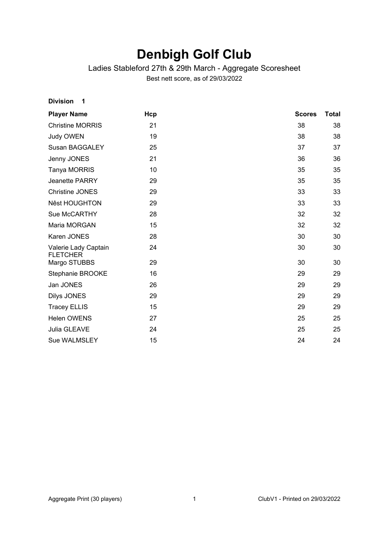# **Denbigh Golf Club**

### Ladies Stableford 27th & 29th March - Aggregate Scoresheet

Best nett score, as of 29/03/2022

| <b>Player Name</b>                      | Hcp | <b>Scores</b> | Total |
|-----------------------------------------|-----|---------------|-------|
| <b>Christine MORRIS</b>                 | 21  | 38            | 38    |
| Judy OWEN                               | 19  | 38            | 38    |
| <b>Susan BAGGALEY</b>                   | 25  | 37            | 37    |
| Jenny JONES                             | 21  | 36            | 36    |
| Tanya MORRIS                            | 10  | 35            | 35    |
| Jeanette PARRY                          | 29  | 35            | 35    |
| <b>Christine JONES</b>                  | 29  | 33            | 33    |
| <b>Nêst HOUGHTON</b>                    | 29  | 33            | 33    |
| Sue McCARTHY                            | 28  | 32            | 32    |
| Maria MORGAN                            | 15  | 32            | 32    |
| Karen JONES                             | 28  | 30            | 30    |
| Valerie Lady Captain<br><b>FLETCHER</b> | 24  | 30            | 30    |
| Margo STUBBS                            | 29  | 30            | 30    |
| Stephanie BROOKE                        | 16  | 29            | 29    |
| Jan JONES                               | 26  | 29            | 29    |
| Dilys JONES                             | 29  | 29            | 29    |
| <b>Tracey ELLIS</b>                     | 15  | 29            | 29    |
| <b>Helen OWENS</b>                      | 27  | 25            | 25    |
| Julia GLEAVE                            | 24  | 25            | 25    |
| <b>Sue WALMSLEY</b>                     | 15  | 24            | 24    |

**Division 1**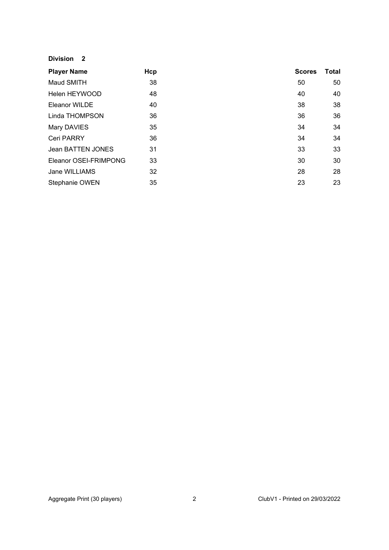#### **Division 2**

| <b>Player Name</b>    | Hcp | <b>Scores</b> | Total |
|-----------------------|-----|---------------|-------|
| Maud SMITH            | 38  | 50            | 50    |
| Helen HEYWOOD         | 48  | 40            | 40    |
| Eleanor WILDE         | 40  | 38            | 38    |
| Linda THOMPSON        | 36  | 36            | 36    |
| Mary DAVIES           | 35  | 34            | 34    |
| Ceri PARRY            | 36  | 34            | 34    |
| Jean BATTEN JONES     | 31  | 33            | 33    |
| Eleanor OSEI-FRIMPONG | 33  | 30            | 30    |
| Jane WILLIAMS         | 32  | 28            | 28    |
| Stephanie OWEN        | 35  | 23            | 23    |